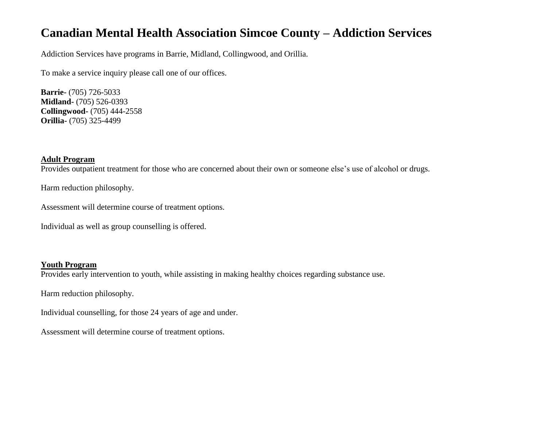# **Canadian Mental Health Association Simcoe County – Addiction Services**

Addiction Services have programs in Barrie, Midland, Collingwood, and Orillia.

To make a service inquiry please call one of our offices.

**Barrie-** (705) 726-5033 **Midland-** (705) 526-0393 **Collingwood-** (705) 444-2558 **Orillia-** (705) 325-4499

# **Adult Program**

Provides outpatient treatment for those who are concerned about their own or someone else's use of alcohol or drugs.

Harm reduction philosophy.

Assessment will determine course of treatment options.

Individual as well as group counselling is offered.

## **Youth Program**

Provides early intervention to youth, while assisting in making healthy choices regarding substance use.

Harm reduction philosophy.

Individual counselling, for those 24 years of age and under.

Assessment will determine course of treatment options.